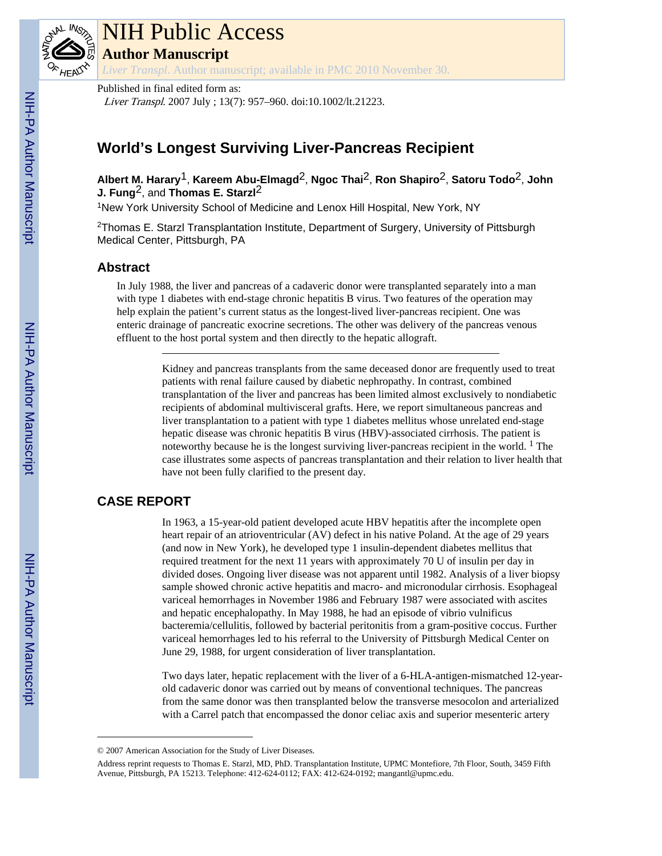

# NIH Public Access

**Author Manuscript**

*Liver Transpl*. Author manuscript; available in PMC 2010 November 30.

Published in final edited form as: Liver Transpl. 2007 July ; 13(7): 957–960. doi:10.1002/lt.21223.

## **World's Longest Surviving Liver-Pancreas Recipient**

**Albert M. Harary**1, **Kareem Abu-Elmagd**2, **Ngoc Thai**2, **Ron Shapiro**2, **Satoru Todo**2, **John J. Fung<sup>2</sup>, and Thomas E. Starzl<sup>2</sup>** 

<sup>1</sup>New York University School of Medicine and Lenox Hill Hospital, New York, NY

<sup>2</sup>Thomas E. Starzl Transplantation Institute, Department of Surgery, University of Pittsburgh Medical Center, Pittsburgh, PA

#### **Abstract**

In July 1988, the liver and pancreas of a cadaveric donor were transplanted separately into a man with type 1 diabetes with end-stage chronic hepatitis B virus. Two features of the operation may help explain the patient's current status as the longest-lived liver-pancreas recipient. One was enteric drainage of pancreatic exocrine secretions. The other was delivery of the pancreas venous effluent to the host portal system and then directly to the hepatic allograft.

> Kidney and pancreas transplants from the same deceased donor are frequently used to treat patients with renal failure caused by diabetic nephropathy. In contrast, combined transplantation of the liver and pancreas has been limited almost exclusively to nondiabetic recipients of abdominal multivisceral grafts. Here, we report simultaneous pancreas and liver transplantation to a patient with type 1 diabetes mellitus whose unrelated end-stage hepatic disease was chronic hepatitis B virus (HBV)-associated cirrhosis. The patient is noteworthy because he is the longest surviving liver-pancreas recipient in the world.  $<sup>1</sup>$  The</sup> case illustrates some aspects of pancreas transplantation and their relation to liver health that have not been fully clarified to the present day.

### **CASE REPORT**

In 1963, a 15-year-old patient developed acute HBV hepatitis after the incomplete open heart repair of an atrioventricular (AV) defect in his native Poland. At the age of 29 years (and now in New York), he developed type 1 insulin-dependent diabetes mellitus that required treatment for the next 11 years with approximately 70 U of insulin per day in divided doses. Ongoing liver disease was not apparent until 1982. Analysis of a liver biopsy sample showed chronic active hepatitis and macro- and micronodular cirrhosis. Esophageal variceal hemorrhages in November 1986 and February 1987 were associated with ascites and hepatic encephalopathy. In May 1988, he had an episode of vibrio vulnificus bacteremia/cellulitis, followed by bacterial peritonitis from a gram-positive coccus. Further variceal hemorrhages led to his referral to the University of Pittsburgh Medical Center on June 29, 1988, for urgent consideration of liver transplantation.

Two days later, hepatic replacement with the liver of a 6-HLA-antigen-mismatched 12-yearold cadaveric donor was carried out by means of conventional techniques. The pancreas from the same donor was then transplanted below the transverse mesocolon and arterialized with a Carrel patch that encompassed the donor celiac axis and superior mesenteric artery

<sup>© 2007</sup> American Association for the Study of Liver Diseases.

Address reprint requests to Thomas E. Starzl, MD, PhD. Transplantation Institute, UPMC Montefiore, 7th Floor, South, 3459 Fifth Avenue, Pittsburgh, PA 15213. Telephone: 412-624-0112; FAX: 412-624-0192; mangantl@upmc.edu.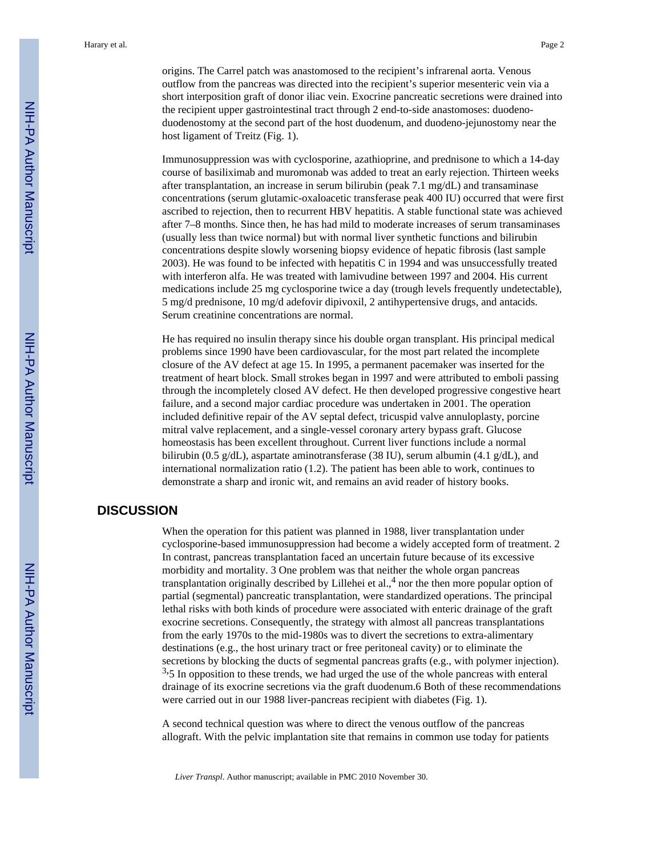outflow from the pancreas was directed into the recipient's superior mesenteric vein via a short interposition graft of donor iliac vein. Exocrine pancreatic secretions were drained into the recipient upper gastrointestinal tract through 2 end-to-side anastomoses: duodenoduodenostomy at the second part of the host duodenum, and duodeno-jejunostomy near the host ligament of Treitz (Fig. 1).

Immunosuppression was with cyclosporine, azathioprine, and prednisone to which a 14-day course of basiliximab and muromonab was added to treat an early rejection. Thirteen weeks after transplantation, an increase in serum bilirubin (peak 7.1 mg/dL) and transaminase concentrations (serum glutamic-oxaloacetic transferase peak 400 IU) occurred that were first ascribed to rejection, then to recurrent HBV hepatitis. A stable functional state was achieved after 7–8 months. Since then, he has had mild to moderate increases of serum transaminases (usually less than twice normal) but with normal liver synthetic functions and bilirubin concentrations despite slowly worsening biopsy evidence of hepatic fibrosis (last sample 2003). He was found to be infected with hepatitis C in 1994 and was unsuccessfully treated with interferon alfa. He was treated with lamivudine between 1997 and 2004. His current medications include 25 mg cyclosporine twice a day (trough levels frequently undetectable), 5 mg/d prednisone, 10 mg/d adefovir dipivoxil, 2 antihypertensive drugs, and antacids. Serum creatinine concentrations are normal.

He has required no insulin therapy since his double organ transplant. His principal medical problems since 1990 have been cardiovascular, for the most part related the incomplete closure of the AV defect at age 15. In 1995, a permanent pacemaker was inserted for the treatment of heart block. Small strokes began in 1997 and were attributed to emboli passing through the incompletely closed AV defect. He then developed progressive congestive heart failure, and a second major cardiac procedure was undertaken in 2001. The operation included definitive repair of the AV septal defect, tricuspid valve annuloplasty, porcine mitral valve replacement, and a single-vessel coronary artery bypass graft. Glucose homeostasis has been excellent throughout. Current liver functions include a normal bilirubin (0.5 g/dL), aspartate aminotransferase (38 IU), serum albumin (4.1 g/dL), and international normalization ratio (1.2). The patient has been able to work, continues to demonstrate a sharp and ironic wit, and remains an avid reader of history books.

#### **DISCUSSION**

When the operation for this patient was planned in 1988, liver transplantation under cyclosporine-based immunosuppression had become a widely accepted form of treatment. 2 In contrast, pancreas transplantation faced an uncertain future because of its excessive morbidity and mortality. 3 One problem was that neither the whole organ pancreas transplantation originally described by Lillehei et al.,<sup>4</sup> nor the then more popular option of partial (segmental) pancreatic transplantation, were standardized operations. The principal lethal risks with both kinds of procedure were associated with enteric drainage of the graft exocrine secretions. Consequently, the strategy with almost all pancreas transplantations from the early 1970s to the mid-1980s was to divert the secretions to extra-alimentary destinations (e.g., the host urinary tract or free peritoneal cavity) or to eliminate the secretions by blocking the ducts of segmental pancreas grafts (e.g., with polymer injection).  $3,5$  In opposition to these trends, we had urged the use of the whole pancreas with enteral drainage of its exocrine secretions via the graft duodenum.6 Both of these recommendations were carried out in our 1988 liver-pancreas recipient with diabetes (Fig. 1).

A second technical question was where to direct the venous outflow of the pancreas allograft. With the pelvic implantation site that remains in common use today for patients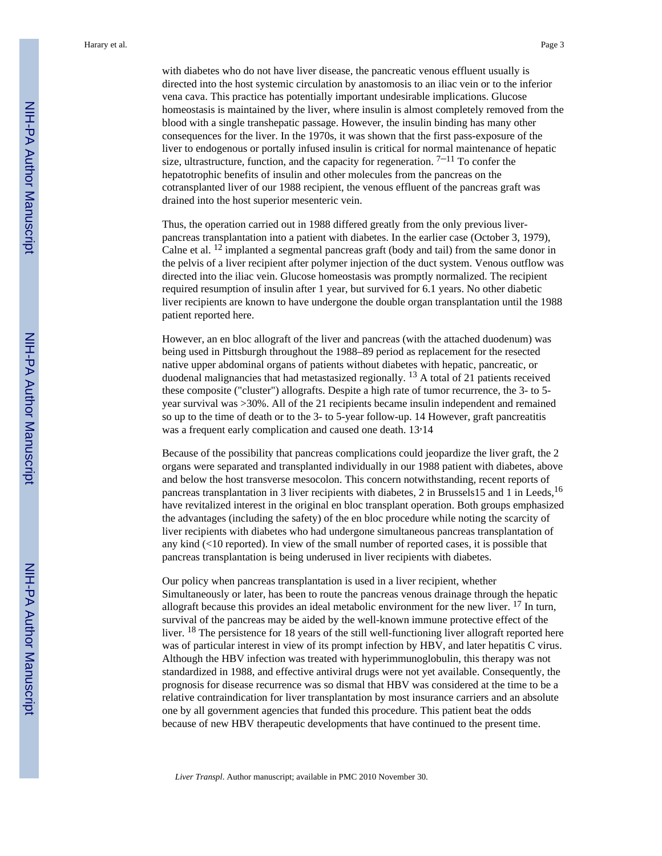vena cava. This practice has potentially important undesirable implications. Glucose homeostasis is maintained by the liver, where insulin is almost completely removed from the blood with a single transhepatic passage. However, the insulin binding has many other consequences for the liver. In the 1970s, it was shown that the first pass-exposure of the liver to endogenous or portally infused insulin is critical for normal maintenance of hepatic size, ultrastructure, function, and the capacity for regeneration.  $7-11$  To confer the hepatotrophic benefits of insulin and other molecules from the pancreas on the cotransplanted liver of our 1988 recipient, the venous effluent of the pancreas graft was drained into the host superior mesenteric vein.

Thus, the operation carried out in 1988 differed greatly from the only previous liverpancreas transplantation into a patient with diabetes. In the earlier case (October 3, 1979), Calne et al. 12 implanted a segmental pancreas graft (body and tail) from the same donor in the pelvis of a liver recipient after polymer injection of the duct system. Venous outflow was directed into the iliac vein. Glucose homeostasis was promptly normalized. The recipient required resumption of insulin after 1 year, but survived for 6.1 years. No other diabetic liver recipients are known to have undergone the double organ transplantation until the 1988 patient reported here.

However, an en bloc allograft of the liver and pancreas (with the attached duodenum) was being used in Pittsburgh throughout the 1988–89 period as replacement for the resected native upper abdominal organs of patients without diabetes with hepatic, pancreatic, or duodenal malignancies that had metastasized regionally. 13 A total of 21 patients received these composite ("cluster") allografts. Despite a high rate of tumor recurrence, the 3- to 5 year survival was >30%. All of the 21 recipients became insulin independent and remained so up to the time of death or to the 3- to 5-year follow-up. 14 However, graft pancreatitis was a frequent early complication and caused one death. 13,14

Because of the possibility that pancreas complications could jeopardize the liver graft, the 2 organs were separated and transplanted individually in our 1988 patient with diabetes, above and below the host transverse mesocolon. This concern notwithstanding, recent reports of pancreas transplantation in 3 liver recipients with diabetes, 2 in Brussels15 and 1 in Leeds, <sup>16</sup> have revitalized interest in the original en bloc transplant operation. Both groups emphasized the advantages (including the safety) of the en bloc procedure while noting the scarcity of liver recipients with diabetes who had undergone simultaneous pancreas transplantation of any kind  $\ll 10$  reported). In view of the small number of reported cases, it is possible that pancreas transplantation is being underused in liver recipients with diabetes.

Our policy when pancreas transplantation is used in a liver recipient, whether Simultaneously or later, has been to route the pancreas venous drainage through the hepatic allograft because this provides an ideal metabolic environment for the new liver. 17 In turn, survival of the pancreas may be aided by the well-known immune protective effect of the liver. 18 The persistence for 18 years of the still well-functioning liver allograft reported here was of particular interest in view of its prompt infection by HBV, and later hepatitis C virus. Although the HBV infection was treated with hyperimmunoglobulin, this therapy was not standardized in 1988, and effective antiviral drugs were not yet available. Consequently, the prognosis for disease recurrence was so dismal that HBV was considered at the time to be a relative contraindication for liver transplantation by most insurance carriers and an absolute one by all government agencies that funded this procedure. This patient beat the odds because of new HBV therapeutic developments that have continued to the present time.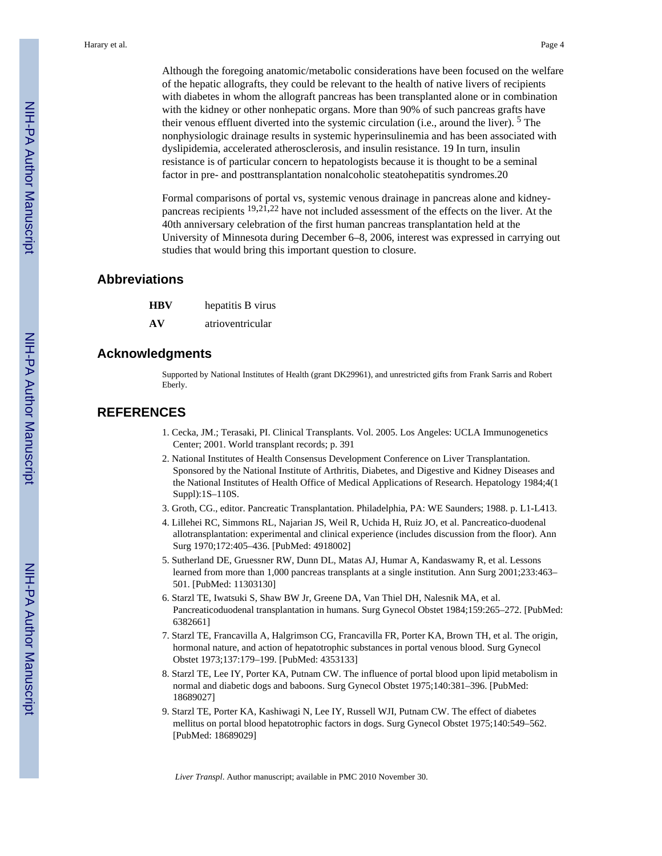Although the foregoing anatomic/metabolic considerations have been focused on the welfare of the hepatic allografts, they could be relevant to the health of native livers of recipients with diabetes in whom the allograft pancreas has been transplanted alone or in combination with the kidney or other nonhepatic organs. More than 90% of such pancreas grafts have their venous effluent diverted into the systemic circulation (i.e., around the liver). <sup>5</sup> The nonphysiologic drainage results in systemic hyperinsulinemia and has been associated with dyslipidemia, accelerated atherosclerosis, and insulin resistance. 19 In turn, insulin resistance is of particular concern to hepatologists because it is thought to be a seminal factor in pre- and posttransplantation nonalcoholic steatohepatitis syndromes.20

Formal comparisons of portal vs, systemic venous drainage in pancreas alone and kidneypancreas recipients 19,21,22 have not included assessment of the effects on the liver. At the 40th anniversary celebration of the first human pancreas transplantation held at the University of Minnesota during December 6–8, 2006, interest was expressed in carrying out studies that would bring this important question to closure.

#### **Abbreviations**

| HBV | hepatitis B virus |
|-----|-------------------|
| AV  | atrioventricular  |

#### **Acknowledgments**

Supported by National Institutes of Health (grant DK29961), and unrestricted gifts from Frank Sarris and Robert Eberly.

#### **REFERENCES**

- 1. Cecka, JM.; Terasaki, PI. Clinical Transplants. Vol. 2005. Los Angeles: UCLA Immunogenetics Center; 2001. World transplant records; p. 391
- 2. National Institutes of Health Consensus Development Conference on Liver Transplantation. Sponsored by the National Institute of Arthritis, Diabetes, and Digestive and Kidney Diseases and the National Institutes of Health Office of Medical Applications of Research. Hepatology 1984;4(1 Suppl):1S–110S.
- 3. Groth, CG., editor. Pancreatic Transplantation. Philadelphia, PA: WE Saunders; 1988. p. L1-L413.
- 4. Lillehei RC, Simmons RL, Najarian JS, Weil R, Uchida H, Ruiz JO, et al. Pancreatico-duodenal allotransplantation: experimental and clinical experience (includes discussion from the floor). Ann Surg 1970;172:405–436. [PubMed: 4918002]
- 5. Sutherland DE, Gruessner RW, Dunn DL, Matas AJ, Humar A, Kandaswamy R, et al. Lessons learned from more than 1,000 pancreas transplants at a single institution. Ann Surg 2001;233:463– 501. [PubMed: 11303130]
- 6. Starzl TE, Iwatsuki S, Shaw BW Jr, Greene DA, Van Thiel DH, Nalesnik MA, et al. Pancreaticoduodenal transplantation in humans. Surg Gynecol Obstet 1984;159:265–272. [PubMed: 6382661]
- 7. Starzl TE, Francavilla A, Halgrimson CG, Francavilla FR, Porter KA, Brown TH, et al. The origin, hormonal nature, and action of hepatotrophic substances in portal venous blood. Surg Gynecol Obstet 1973;137:179–199. [PubMed: 4353133]
- 8. Starzl TE, Lee IY, Porter KA, Putnam CW. The influence of portal blood upon lipid metabolism in normal and diabetic dogs and baboons. Surg Gynecol Obstet 1975;140:381–396. [PubMed: 18689027]
- 9. Starzl TE, Porter KA, Kashiwagi N, Lee IY, Russell WJI, Putnam CW. The effect of diabetes mellitus on portal blood hepatotrophic factors in dogs. Surg Gynecol Obstet 1975;140:549–562. [PubMed: 18689029]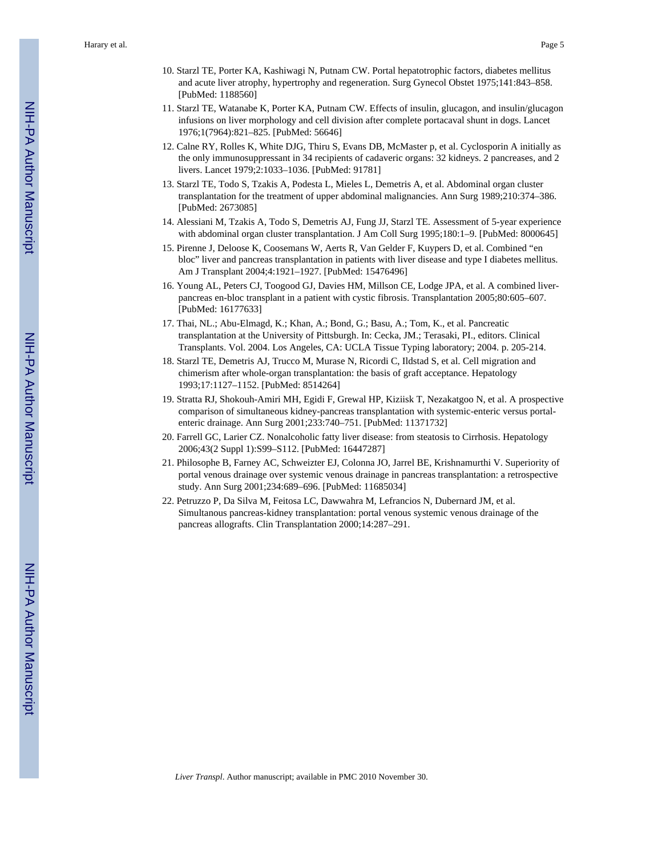- 10. Starzl TE, Porter KA, Kashiwagi N, Putnam CW. Portal hepatotrophic factors, diabetes mellitus and acute liver atrophy, hypertrophy and regeneration. Surg Gynecol Obstet 1975;141:843–858. [PubMed: 1188560]
- 11. Starzl TE, Watanabe K, Porter KA, Putnam CW. Effects of insulin, glucagon, and insulin/glucagon infusions on liver morphology and cell division after complete portacaval shunt in dogs. Lancet 1976;1(7964):821–825. [PubMed: 56646]
- 12. Calne RY, Rolles K, White DJG, Thiru S, Evans DB, McMaster p, et al. Cyclosporin A initially as the only immunosuppressant in 34 recipients of cadaveric organs: 32 kidneys. 2 pancreases, and 2 livers. Lancet 1979;2:1033–1036. [PubMed: 91781]
- 13. Starzl TE, Todo S, Tzakis A, Podesta L, Mieles L, Demetris A, et al. Abdominal organ cluster transplantation for the treatment of upper abdominal malignancies. Ann Surg 1989;210:374–386. [PubMed: 2673085]
- 14. Alessiani M, Tzakis A, Todo S, Demetris AJ, Fung JJ, Starzl TE. Assessment of 5-year experience with abdominal organ cluster transplantation. J Am Coll Surg 1995;180:1–9. [PubMed: 8000645]
- 15. Pirenne J, Deloose K, Coosemans W, Aerts R, Van Gelder F, Kuypers D, et al. Combined "en bloc" liver and pancreas transplantation in patients with liver disease and type I diabetes mellitus. Am J Transplant 2004;4:1921–1927. [PubMed: 15476496]
- 16. Young AL, Peters CJ, Toogood GJ, Davies HM, Millson CE, Lodge JPA, et al. A combined liverpancreas en-bloc transplant in a patient with cystic fibrosis. Transplantation 2005;80:605–607. [PubMed: 16177633]
- 17. Thai, NL.; Abu-Elmagd, K.; Khan, A.; Bond, G.; Basu, A.; Tom, K., et al. Pancreatic transplantation at the University of Pittsburgh. In: Cecka, JM.; Terasaki, PI., editors. Clinical Transplants. Vol. 2004. Los Angeles, CA: UCLA Tissue Typing laboratory; 2004. p. 205-214.
- 18. Starzl TE, Demetris AJ, Trucco M, Murase N, Ricordi C, Ildstad S, et al. Cell migration and chimerism after whole-organ transplantation: the basis of graft acceptance. Hepatology 1993;17:1127–1152. [PubMed: 8514264]
- 19. Stratta RJ, Shokouh-Amiri MH, Egidi F, Grewal HP, Kiziisk T, Nezakatgoo N, et al. A prospective comparison of simultaneous kidney-pancreas transplantation with systemic-enteric versus portalenteric drainage. Ann Surg 2001;233:740–751. [PubMed: 11371732]
- 20. Farrell GC, Larier CZ. Nonalcoholic fatty liver disease: from steatosis to Cirrhosis. Hepatology 2006;43(2 Suppl 1):S99–S112. [PubMed: 16447287]
- 21. Philosophe B, Farney AC, Schweizter EJ, Colonna JO, Jarrel BE, Krishnamurthi V. Superiority of portal venous drainage over systemic venous drainage in pancreas transplantation: a retrospective study. Ann Surg 2001;234:689–696. [PubMed: 11685034]
- 22. Petruzzo P, Da Silva M, Feitosa LC, Dawwahra M, Lefrancios N, Dubernard JM, et al. Simultanous pancreas-kidney transplantation: portal venous systemic venous drainage of the pancreas allografts. Clin Transplantation 2000;14:287–291.

NIH-PA Author Manuscript

NH-PA Actros Manuscript